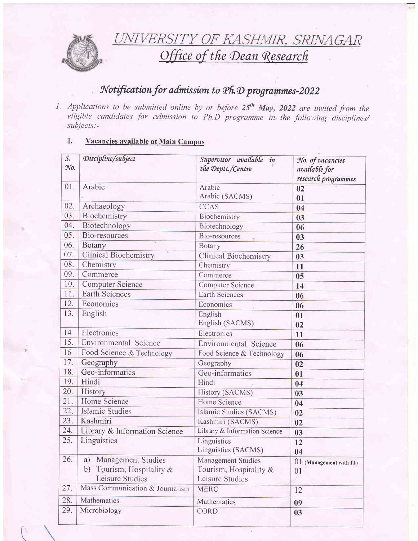

UNIVERSITY OF KASHMIR, SRINAGAR<br>Office of the Dean Research

# Notification for admission to Ph.D programmes-2022

1. Applications to be submitted online by or before  $25<sup>th</sup>$  May, 2022 are invited from the eligible candidates for admission to Ph.D programme in the following disciplines/  $subjects$ :-

### I. Vacancies available at Main Campus

| $\mathcal{S}$ .<br>No. | Discipline/subject                                                      | Supervisor available in<br>the Deptt./Centre                       | No. of vacancies<br>available for<br>research programmes |
|------------------------|-------------------------------------------------------------------------|--------------------------------------------------------------------|----------------------------------------------------------|
| 01.                    | Arabic                                                                  | Arabic<br>Arabic (SACMS)                                           | 02<br>01                                                 |
| 02.                    | Archaeology                                                             | <b>CCAS</b>                                                        | 04                                                       |
| 03.                    | Biochemistry                                                            | Biochemistry                                                       | 03                                                       |
| 04.                    | Biotechnology                                                           | Biotechnology                                                      | 06                                                       |
| 05.                    | Bio-resources                                                           | Bio-resources                                                      | 03                                                       |
| 06.                    | Botany                                                                  | Botany                                                             | 26                                                       |
| 07.                    | <b>Clinical Biochemistry</b>                                            | <b>Clinical Biochemistry</b>                                       | 03                                                       |
| 08.                    | Chemistry                                                               | Chemistry                                                          | 11                                                       |
| 09.                    | Commerce                                                                | Commerce                                                           | 05                                                       |
| 10.                    | <b>Computer Science</b>                                                 | Computer Science                                                   | 14                                                       |
| 11.                    | <b>Earth Sciences</b>                                                   | <b>Earth Sciences</b>                                              | 06                                                       |
| 12.                    | Economics                                                               | Economics                                                          | 06                                                       |
| 13.                    | English                                                                 | English<br>English (SACMS)                                         | 01<br>02                                                 |
| 14                     | Electronics                                                             | Electronics                                                        | 11                                                       |
| 15.                    | Environmental Science                                                   | Environmental Science                                              | 06                                                       |
| 16                     | Food Science & Technology                                               | Food Science & Technology                                          | 06                                                       |
| 17.                    | Geography                                                               | Geography                                                          | 02                                                       |
| 18.                    | Geo-informatics                                                         | Geo-informatics                                                    | 01                                                       |
| 19.                    | Hindi                                                                   | Hindi                                                              | 04                                                       |
| 20.                    | History                                                                 | History (SACMS)                                                    | 03                                                       |
| 21.                    | Home Science                                                            | Home Science                                                       | 04                                                       |
| 22.                    | Islamic Studies                                                         | Islamic Studies (SACMS)                                            | 02                                                       |
| 23.                    | Kashmiri                                                                | Kashmiri (SACMS)                                                   | 02                                                       |
| 24.                    | Library & Information Science                                           | Library & Information Science                                      | 03                                                       |
| 25.                    | Linguistics                                                             | Linguistics<br>Linguistics (SACMS)                                 | 12<br>04                                                 |
| 26.                    | a) Management Studies<br>b) Tourism, Hospitality $&$<br>Leisure Studies | Management Studies<br>Tourism, Hospitality $\&$<br>Leisure Studies | 01 (Management with IT)<br>01                            |
| 27.                    | Mass Communication & Journalism                                         | <b>MERC</b>                                                        | 12                                                       |
| 28.                    | Mathematics                                                             | Mathematics                                                        | 09                                                       |
| 29.                    | Microbiology                                                            | <b>CORD</b>                                                        | 03                                                       |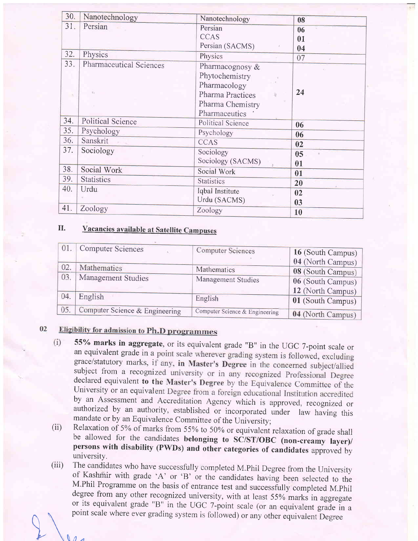| 30. | Nanotechnology                       | Nanotechnology                                                                                             | 08             |
|-----|--------------------------------------|------------------------------------------------------------------------------------------------------------|----------------|
| 31. | Persian                              | Persian<br><b>CCAS</b><br>Persian (SACMS)                                                                  | 06<br>01<br>04 |
| 32. | Physics                              | Physics                                                                                                    | 07             |
| 33. | <b>Pharmaceutical Sciences</b><br>E. | Pharmacognosy &<br>Phytochemistry<br>Pharmacology<br>Pharma Practices<br>Pharma Chemistry<br>Pharmaceutics | 24             |
| 34. | <b>Political Science</b>             | Political Science                                                                                          | 06             |
| 35. | Psychology                           | Psychology                                                                                                 | 06             |
| 36. | Sanskrit                             | <b>CCAS</b>                                                                                                | 02             |
| 37. | Sociology                            | Sociology<br>Sociology (SACMS)                                                                             | 05<br>01       |
| 38. | Social Work                          | Social Work                                                                                                | 01             |
| 39. | <b>Statistics</b>                    | <b>Statistics</b>                                                                                          | 20             |
| 40. | Urdu                                 | Iqbal Institute<br>Urdu (SACMS)                                                                            | 02<br>03       |
| 41. | Zoology                              | Zoology                                                                                                    | 10             |

### II. Vacancies available at Satellite Campuses

| 01. | Computer Sciences              | <b>Computer Sciences</b>       | 16 (South Campus) |
|-----|--------------------------------|--------------------------------|-------------------|
|     |                                |                                | 04 (North Campus) |
| 02. | Mathematics                    | Mathematics                    | 08 (South Campus) |
| 03. | Management Studies             | Management Studies             | 06 (South Campus) |
|     |                                |                                | 12 (North Campus) |
| 04. | English                        | English                        | 01 (South Campus) |
| 05. | Computer Science & Engineering | Computer Science & Engineering | 04 (North Campus) |

### 02 **Eligibility for admission to Ph.D programmes**

- 55% marks in aggregate, or its equivalent grade "B" in the UGC 7-point scale or  $(i)$ an equivalent grade in a point scale wherever grading system is followed, excluding grace/statutory marks, if any, in Master's Degree in the concerned subject/allied subject from a recognized university or in any recognized Professional Degree declared equivalent to the Master's Degree by the Equivalence Committee of the University or an equivalent Degree from a foreign educational Institution accredited by an Assessment and Accreditation Agency which is approved, recognized or authorized by an authority, established or incorporated under law having this mandate or by an Equivalence Committee of the University; Relaxation
- (ii) be allowed for the candidates belonging to SC/ST/OBC (non-creamy layer)/ persons with disability (PWDs) and other categories of candidates approved by university.
- $(iii)$ The candidates who have successfully completed M.Phil Degree from the University<br>of Kashmir with grade 'A' or 'B' or the candidates having been selected to the<br>M.Phil Programme on the basis of entrance test and successfull or its equivalent grade "B" in the UGC 7-point scale (or an equivalent grade in a point scale where ever grading system is followed) or any other equivalent Degree

 $\Lambda$  $\mathcal{L}$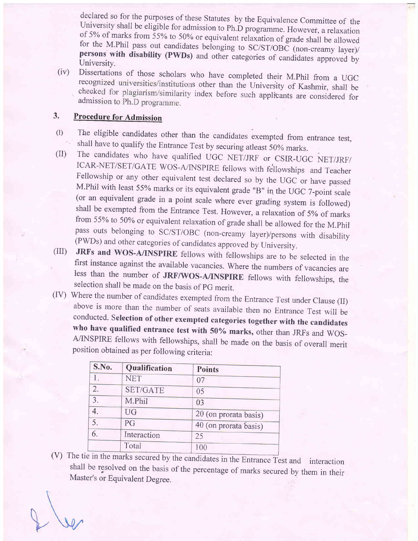declared so for the purposes of these Statutes by the Equivalence Committee of the University shall be eligible for admission to Ph.D programme. However, a relaxation of 5% of marks from 55% to 50% or equivalent relaxation persons with disability (PWDs) and other categories of candidates approved by University.

(iv) Dissertations of those scholars who have completed their M.Phil from a UGC recognized universities/institutions other than the University of Kashmir, shall be checked for plagiarism/similarity index before such applic

# 3. Procedure for Admission

- 
- (I) The eligible candidates other than the candidates exempted from entrance test, shall have to qualify the Entrance Test by securing atleast 50% marks.<br>
(II) The candidates who have qualified UGC NET/JRF or CSIR-UGC NET from 55% to 50% or equivalent relaxation of grade shall be allowed for the M.Phil<br>pass outs belonging to SC/ST/OBC (non-creamy layer)/persons with disability
- (PWDs) and other categories of candidates approved by University.<br>
(III) **JRFs and WOS-A/INSPIRE** fellows with fellowships are to be selected in the<br>
first instance against the available vacancies. Where the numbers of vac
- conducted. Selection of other exempted categories together with the candidates<br>who have qualified entrance test with 50% marks, other than JRFs and WOS-<br>A/INSPIRE fellows with fellowships, shall be made on the basis of ove

| S.No.          | Qualification   | <b>Points</b>         |  |
|----------------|-----------------|-----------------------|--|
|                | <b>NET</b>      | 07                    |  |
| 2.             | <b>SET/GATE</b> | 05                    |  |
| $\overline{3}$ | M.Phil          | 03                    |  |
|                | UG              | 20 (on prorata basis) |  |
| 5.             | PG              | 40 (on prorata basis) |  |
| 6.             | Interaction     | 25                    |  |
|                | Total           | 100                   |  |

 $(V)$ The tie in the marks secured by the candidates in the Entrance Test and interaction shall be resolved on the basis of the percentage of marks secured by them in their Master's or Equivalent Degree.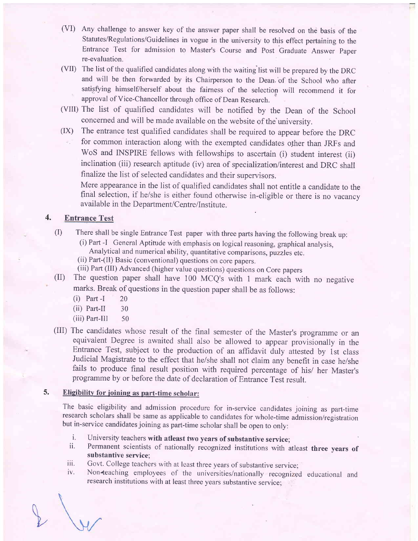- (VD Any challenge to answer key of the answer paper shall be resolved on the basis of the Statutes/Regulations/Guidelines in vogue in the university to this effect pertaining to the Entrance Test for admission to Master's Course and Post Graduate Answer Paper re-evaluation.
- (VII) The list of the qualified candidates along with the waiting list will be prepared by the DRC and will be then forwarded by its Chairperson to the Dean.'of the School who after satisfying himself/herself about the fairness of the selection will recommend it for approval of Vice-Chancellor through office of Dean Research.
- (VIII) The list of qualified candidates will be notified by the Dean of the School concemed and will be made available on the website of the'university.
- (IX) The entrance test qualified candidates shall be required to appear before the DRC for common interaction along with the exempted candidates other than JRFs and WoS and INSPIRE fellows with fellowships to ascertain (i) student interest (ii) inclination (iii) research aptitude (iv) area of specialization/interest and DRC shall finalize the list of selected candidates and their supervisors.

Mere appearance in the list of qualified candidates shall not entitle a candidate to the final selection, if he/she is either found otherwise in-eligible or there is no vacancy available in the Department/Centre/Institute.

#### 4. Entrance Test

- (I) There shall be single Entrance Test paper with three parts having the following break up:
	- (i) Part -I General Aptitude with emphasis on logical reasoning, graphical analysis, Analytical and numerical ability, quantitative comparisons, puzzles etc.
	-
	- (ii) Part-(II) Basic (conventional) questions on core papers.<br>(iii) Part (III) Advanced (higher value questions) questions on Core papers
- (II) The question paper shall have 100 MCQ's with 1 mark each with no negative marks. Break of questions in the question paper shall be as follows:
	- (i) Part -I <sup>20</sup>
	- (ii) Part-II 30
	- $(iii)$  Part-III  $50$
- (III) The candidates whose result of the final semester of the Master's programme or an equivalent Degree is awaited shall also be allowed to appear provisionally in the Entrance Test, subject to the production of an affidavit duly attested by 1st class Judicial Magistrate to the effect that he/she shall not claim any benefit in case he/she fails to produce final result position with required percentage of his/ her Master's programme by or before the date of declaration of Entrance Test result.

### Eligibility for joining as part-time scholar: 3.

The basic eligibility and admission procedure for in-service candidates joining as part-time research scholars shall be same as applicable to candidates for whole-time admission/registration but in-service candidates joining as part-time scholar shall be open to only:

- 
- i. University teachers with atleast two years of substantive service;<br>ii. Permanent scientists of nationally recognized institutions with atleast three years of substantive service;
- 
- iii. Govt. College teachers with at least three years of substantive service;<br>iv. Non teaching employees of the universities/nationally recognized educational and research institutions with at least three years substantive service: